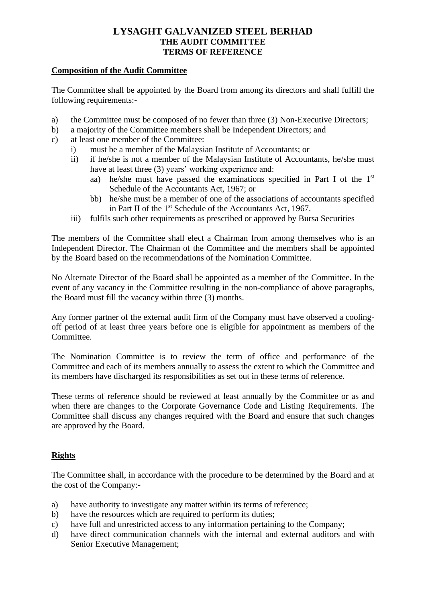#### **Composition of the Audit Committee**

The Committee shall be appointed by the Board from among its directors and shall fulfill the following requirements:-

- a) the Committee must be composed of no fewer than three (3) Non-Executive Directors;
- b) a majority of the Committee members shall be Independent Directors; and
- c) at least one member of the Committee:
	- i) must be a member of the Malaysian Institute of Accountants; or
	- ii) if he/she is not a member of the Malaysian Institute of Accountants, he/she must have at least three (3) years' working experience and:
		- aa) he/she must have passed the examinations specified in Part I of the 1<sup>st</sup> Schedule of the Accountants Act, 1967; or
		- bb) he/she must be a member of one of the associations of accountants specified in Part II of the  $1<sup>st</sup>$  Schedule of the Accountants Act, 1967.
	- iii) fulfils such other requirements as prescribed or approved by Bursa Securities

The members of the Committee shall elect a Chairman from among themselves who is an Independent Director. The Chairman of the Committee and the members shall be appointed by the Board based on the recommendations of the Nomination Committee.

No Alternate Director of the Board shall be appointed as a member of the Committee. In the event of any vacancy in the Committee resulting in the non-compliance of above paragraphs, the Board must fill the vacancy within three (3) months.

Any former partner of the external audit firm of the Company must have observed a coolingoff period of at least three years before one is eligible for appointment as members of the Committee.

The Nomination Committee is to review the term of office and performance of the Committee and each of its members annually to assess the extent to which the Committee and its members have discharged its responsibilities as set out in these terms of reference.

These terms of reference should be reviewed at least annually by the Committee or as and when there are changes to the Corporate Governance Code and Listing Requirements. The Committee shall discuss any changes required with the Board and ensure that such changes are approved by the Board.

# **Rights**

The Committee shall, in accordance with the procedure to be determined by the Board and at the cost of the Company:-

- a) have authority to investigate any matter within its terms of reference;
- b) have the resources which are required to perform its duties;
- c) have full and unrestricted access to any information pertaining to the Company;
- d) have direct communication channels with the internal and external auditors and with Senior Executive Management;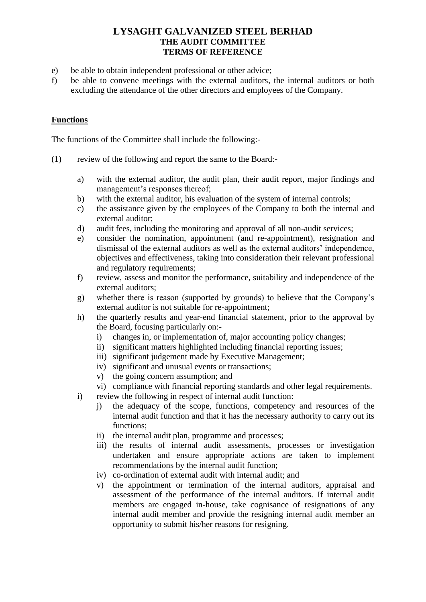- e) be able to obtain independent professional or other advice;
- f) be able to convene meetings with the external auditors, the internal auditors or both excluding the attendance of the other directors and employees of the Company.

# **Functions**

The functions of the Committee shall include the following:-

- (1) review of the following and report the same to the Board:
	- a) with the external auditor, the audit plan, their audit report, major findings and management's responses thereof;
	- b) with the external auditor, his evaluation of the system of internal controls;
	- c) the assistance given by the employees of the Company to both the internal and external auditor;
	- d) audit fees, including the monitoring and approval of all non-audit services;
	- e) consider the nomination, appointment (and re-appointment), resignation and dismissal of the external auditors as well as the external auditors' independence, objectives and effectiveness, taking into consideration their relevant professional and regulatory requirements;
	- f) review, assess and monitor the performance, suitability and independence of the external auditors;
	- g) whether there is reason (supported by grounds) to believe that the Company's external auditor is not suitable for re-appointment;
	- h) the quarterly results and year-end financial statement, prior to the approval by the Board, focusing particularly on:
		- i) changes in, or implementation of, major accounting policy changes;
		- ii) significant matters highlighted including financial reporting issues;
		- iii) significant judgement made by Executive Management;
		- iv) significant and unusual events or transactions;
		- v) the going concern assumption; and
		- vi) compliance with financial reporting standards and other legal requirements.
	- i) review the following in respect of internal audit function:
		- j) the adequacy of the scope, functions, competency and resources of the internal audit function and that it has the necessary authority to carry out its functions;
		- ii) the internal audit plan, programme and processes;
		- iii) the results of internal audit assessments, processes or investigation undertaken and ensure appropriate actions are taken to implement recommendations by the internal audit function;
		- iv) co-ordination of external audit with internal audit; and
		- v) the appointment or termination of the internal auditors, appraisal and assessment of the performance of the internal auditors. If internal audit members are engaged in-house, take cognisance of resignations of any internal audit member and provide the resigning internal audit member an opportunity to submit his/her reasons for resigning.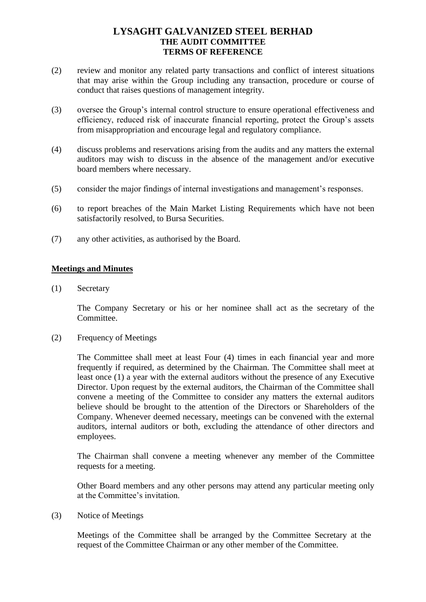- (2) review and monitor any related party transactions and conflict of interest situations that may arise within the Group including any transaction, procedure or course of conduct that raises questions of management integrity.
- (3) oversee the Group's internal control structure to ensure operational effectiveness and efficiency, reduced risk of inaccurate financial reporting, protect the Group's assets from misappropriation and encourage legal and regulatory compliance.
- (4) discuss problems and reservations arising from the audits and any matters the external auditors may wish to discuss in the absence of the management and/or executive board members where necessary.
- (5) consider the major findings of internal investigations and management's responses.
- (6) to report breaches of the Main Market Listing Requirements which have not been satisfactorily resolved, to Bursa Securities.
- (7) any other activities, as authorised by the Board.

#### **Meetings and Minutes**

(1) Secretary

The Company Secretary or his or her nominee shall act as the secretary of the Committee.

(2) Frequency of Meetings

The Committee shall meet at least Four (4) times in each financial year and more frequently if required, as determined by the Chairman. The Committee shall meet at least once (1) a year with the external auditors without the presence of any Executive Director. Upon request by the external auditors, the Chairman of the Committee shall convene a meeting of the Committee to consider any matters the external auditors believe should be brought to the attention of the Directors or Shareholders of the Company. Whenever deemed necessary, meetings can be convened with the external auditors, internal auditors or both, excluding the attendance of other directors and employees.

The Chairman shall convene a meeting whenever any member of the Committee requests for a meeting.

Other Board members and any other persons may attend any particular meeting only at the Committee's invitation.

(3) Notice of Meetings

Meetings of the Committee shall be arranged by the Committee Secretary at the request of the Committee Chairman or any other member of the Committee.